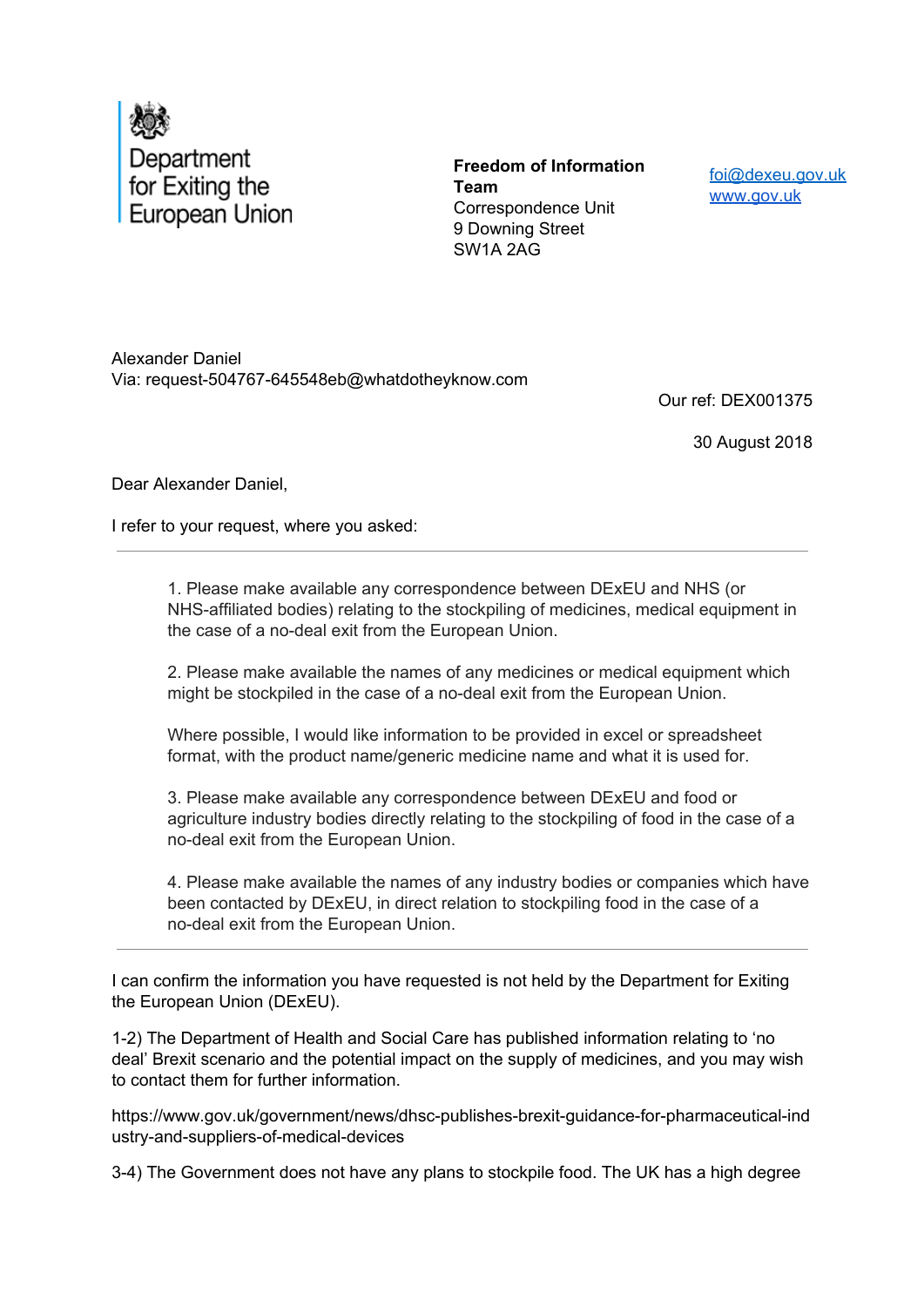

**Freedom of Information Team** Correspondence Unit 9 Downing Street SW1A 2AG

foi@dexeu.gov.uk www.gov.uk

Alexander Daniel Via: request-504767-645548eb@whatdotheyknow.com

Our ref: DEX001375

30 August 2018

Dear Alexander Daniel,

I refer to your request, where you asked:

1. Please make available any correspondence between DExEU and NHS (or NHS-affiliated bodies) relating to the stockpiling of medicines, medical equipment in the case of a no-deal exit from the European Union.

2. Please make available the names of any medicines or medical equipment which might be stockpiled in the case of a no-deal exit from the European Union.

Where possible, I would like information to be provided in excel or spreadsheet format, with the product name/generic medicine name and what it is used for.

3. Please make available any correspondence between DExEU and food or agriculture industry bodies directly relating to the stockpiling of food in the case of a no-deal exit from the European Union.

4. Please make available the names of any industry bodies or companies which have been contacted by DExEU, in direct relation to stockpiling food in the case of a no-deal exit from the European Union.

I can confirm the information you have requested is not held by the Department for Exiting the European Union (DExEU).

1-2) The Department of Health and Social Care has published information relating to 'no deal' Brexit scenario and the potential impact on the supply of medicines, and you may wish to contact them for further information.

https://www.gov.uk/government/news/dhsc-publishes-brexit-guidance-for-pharmaceutical-ind ustry-and-suppliers-of-medical-devices

3-4) The Government does not have any plans to stockpile food. The UK has a high degree